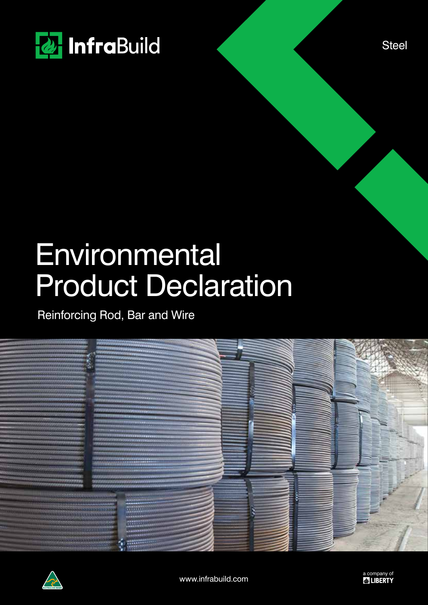

**Steel** 

# **Environmental** Product Declaration

Reinforcing Rod, Bar and Wire



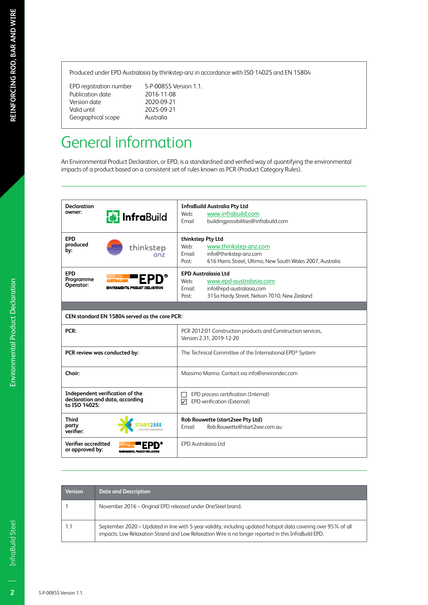Produced under EPD Australasia by thinkstep-anz in accordance with ISO 14025 and EN 15804

Publication date 2016-11-08<br>Version date 2020-09-21 Version date<br>Valid until Geographical scope

EPD registration number S-P-00855 Version 1.1. 2025-09-21<br>Australia

# General information

An Environmental Product Declaration, or EPD, is a standardised and verified way of quantifying the environmental impacts of a product based on a consistent set of rules known as PCR (Product Category Rules).

| <b>Declaration</b>                     |                                                                    | <b>InfraBuild Australia Pty Ltd</b>                                                      |  |  |  |
|----------------------------------------|--------------------------------------------------------------------|------------------------------------------------------------------------------------------|--|--|--|
| owner:                                 | <b>&amp;</b> InfraBuild                                            | www.infrabuild.com<br>Web:                                                               |  |  |  |
|                                        |                                                                    | buildingpossibilities@infrabuild.com<br>Email                                            |  |  |  |
| <b>EPD</b>                             |                                                                    | thinkstep Pty Ltd                                                                        |  |  |  |
| produced                               | thinkstep                                                          | www.thinkstep-anz.com<br>Web:                                                            |  |  |  |
| by:                                    | an <sub>7</sub>                                                    | info@thinkstep-anz.com<br>Email:                                                         |  |  |  |
|                                        |                                                                    | 616 Harris Street, Ultimo, New South Wales 2007, Australia<br>Post:                      |  |  |  |
| <b>EPD</b>                             |                                                                    | <b>EPD Australasia Ltd</b>                                                               |  |  |  |
| Programme                              |                                                                    | www.epd-australasia.com<br>Web:                                                          |  |  |  |
| Operator:                              | ENVIRONMENTAL PRODUCT DECLARATION                                  | info@epd-australasia.com<br>Email:                                                       |  |  |  |
|                                        |                                                                    | 315a Hardy Street, Nelson 7010, New Zealand<br>Post:                                     |  |  |  |
|                                        |                                                                    |                                                                                          |  |  |  |
|                                        | CEN standard EN 15804 served as the core PCR:                      |                                                                                          |  |  |  |
| PCR:                                   |                                                                    | PCR 2012:01 Construction products and Construction services,<br>Version 2.31, 2019-12-20 |  |  |  |
|                                        | PCR review was conducted by:                                       | The Technical Committee of the International EPD® System                                 |  |  |  |
| Chair:                                 |                                                                    | Massimo Marino. Contact via info@environdec.com                                          |  |  |  |
| to ISO 14025:                          | Independent verification of the<br>declaration and data, according | EPD process certification (Internal)<br>EPD verification (External)<br>☑                 |  |  |  |
| <b>Third</b><br>party<br>verifier:     |                                                                    | Rob Rouwette (start2see Pty Ltd)<br>Rob.Rouwette@start2see.com.au<br>Email:              |  |  |  |
| Verifier accredited<br>or approved by: | ENVIRONMENTAL PRODUCT DECLARATION                                  | <b>EPD Australasia Ltd</b>                                                               |  |  |  |

| <b>Version</b> | <b>Date and Description</b>                                                                                                                                                                                            |
|----------------|------------------------------------------------------------------------------------------------------------------------------------------------------------------------------------------------------------------------|
|                | November 2016 – Original EPD released under OneSteel brand.                                                                                                                                                            |
|                | September 2020 – Updated in line with 5-year validity, including updated hotspot data covering over 95% of all<br>impacts. Low Relaxation Strand and Low Relaxation Wire is no longer reported in this InfraBuild EPD. |

 $\overline{2}$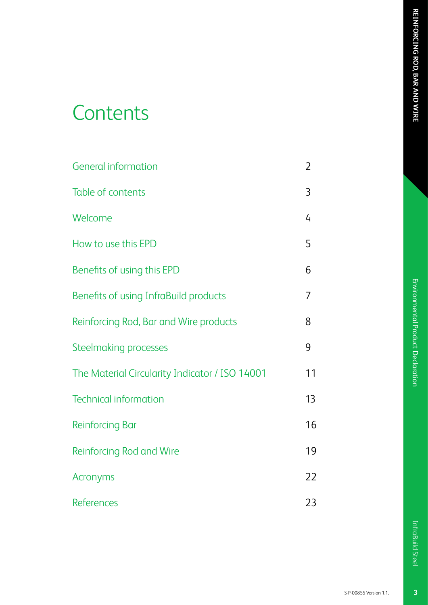# Environmental Product Declaration

# **Contents**

| <b>General information</b>                     | $\overline{2}$ |
|------------------------------------------------|----------------|
| Table of contents                              | 3              |
| Welcome                                        | 4              |
| How to use this EPD                            | 5              |
| Benefits of using this EPD                     | 6              |
| Benefits of using InfraBuild products          | 7              |
| Reinforcing Rod, Bar and Wire products         | 8              |
| <b>Steelmaking processes</b>                   | 9              |
| The Material Circularity Indicator / ISO 14001 | 11             |
| <b>Technical information</b>                   | 13             |
| <b>Reinforcing Bar</b>                         | 16             |
| Reinforcing Rod and Wire                       | 19             |
| Acronyms                                       | 22             |
| <b>References</b>                              | 23             |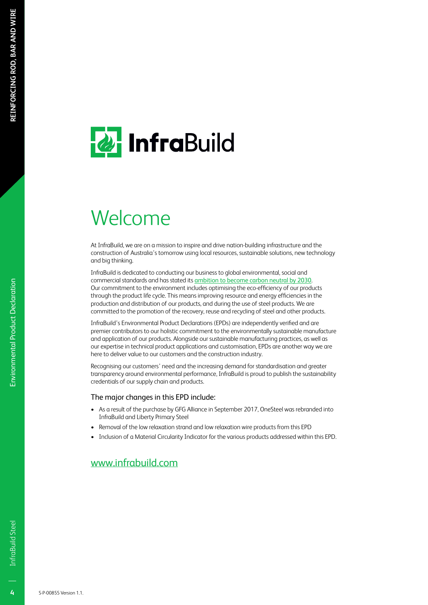# **& InfraBuild**

# Welcome

At InfraBuild, we are on a mission to inspire and drive nation-building infrastructure and the construction of Australia's tomorrow using local resources, sustainable solutions, new technology and big thinking.

InfraBuild is dedicated to conducting our business to global environmental, social and commercial standards and has stated its ambition to become carbon neutral by 2030. Our commitment to the environment includes optimising the eco-efficiency of our products through the product life cycle. This means improving resource and energy efficiencies in the production and distribution of our products, and during the use of steel products. We are committed to the promotion of the recovery, reuse and recycling of steel and other products.

InfraBuild's Environmental Product Declarations (EPDs) are independently verified and are premier contributors to our holistic commitment to the environmentally sustainable manufacture and application of our products. Alongside our sustainable manufacturing practices, as well as our expertise in technical product applications and customisation, EPDs are another way we are here to deliver value to our customers and the construction industry.

Recognising our customers' need and the increasing demand for standardisation and greater transparency around environmental performance, InfraBuild is proud to publish the sustainability credentials of our supply chain and products.

### The major changes in this EPD include:

- As a result of the purchase by GFG Alliance in September 2017, OneSteel was rebranded into InfraBuild and Liberty Primary Steel
- Removal of the low relaxation strand and low relaxation wire products from this EPD
- Inclusion of a Material Circularity Indicator for the various products addressed within this EPD.

### www.infrabuild.com

 $\overline{4}$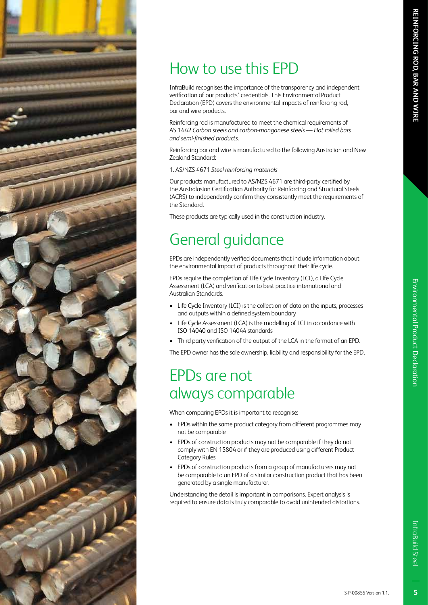# How to use this EPD

InfraBuild recognises the importance of the transparency and independent verification of our products' credentials. This Environmental Product Declaration (EPD) covers the environmental impacts of reinforcing rod, bar and wire products.

Reinforcing rod is manufactured to meet the chemical requirements of AS 1442 *Carbon steels and carbon-manganese steels — Hot rolled bars and semi-finished products*.

Reinforcing bar and wire is manufactured to the following Australian and New Zealand Standard:

1. AS/NZS 4671 *Steel reinforcing materials*

Our products manufactured to AS/NZS 4671 are third-party certified by the Australasian Certification Authority for Reinforcing and Structural Steels (ACRS) to independently confirm they consistently meet the requirements of the Standard.

These products are typically used in the construction industry.

# General guidance

EPDs are independently verified documents that include information about the environmental impact of products throughout their life cycle.

EPDs require the completion of Life Cycle Inventory (LCI), a Life Cycle Assessment (LCA) and verification to best practice international and Australian Standards.

- Life Cycle Inventory (LCI) is the collection of data on the inputs, processes and outputs within a defined system boundary
- Life Cycle Assessment (LCA) is the modelling of LCI in accordance with ISO 14040 and ISO 14044 standards
- Third party verification of the output of the LCA in the format of an EPD.

The EPD owner has the sole ownership, liability and responsibility for the EPD.

# EPDs are not always comparable

When comparing EPDs it is important to recognise:

- EPDs within the same product category from different programmes may not be comparable
- EPDs of construction products may not be comparable if they do not comply with EN 15804 or if they are produced using different Product Category Rules
- EPDs of construction products from a group of manufacturers may not be comparable to an EPD of a similar construction product that has been generated by a single manufacturer.

Understanding the detail is important in comparisons. Expert analysis is required to ensure data is truly comparable to avoid unintended distortions.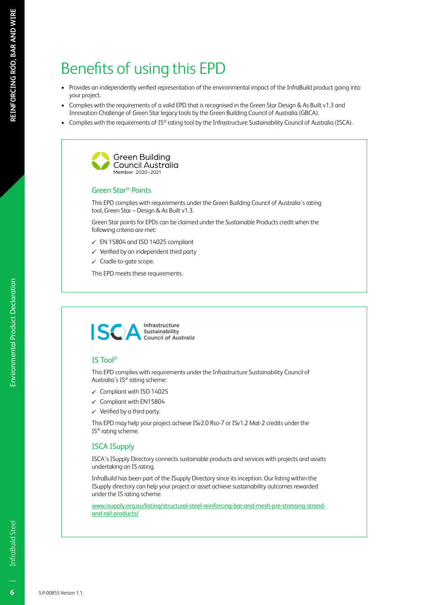# Benefits of using this EPD

- Provides an independently verified representation of the environmental impact of the InfraBuild product going into your project.
- Complies with the requirements of a valid EPD that is recognised in the Green Star Design & As Built v1.3 and Innovation Challenge of Green Star legacy tools by the Green Building Council of Australia (GBCA).
- Complies with the requirements of IS® rating tool by the Infrastructure Sustainability Council of Australia (ISCA).



### Green Star® Points

This EPD complies with requirements under the Green Building Council of Australia's rating tool, Green Star – Design & As Built v1.3.

Green Star points for EPDs can be claimed under the Sustainable Products credit when the following criteria are met:

- $\checkmark$  EN 15804 and ISO 14025 compliant
- $\checkmark$  Verified by an independent third party
- $\checkmark$  Cradle-to-gate scope.

This EPD meets these requirements.



### IS Tool®

This EPD complies with requirements under the Infrastructure Sustainability Council of Australia's IS® rating scheme:

- $\checkmark$  Compliant with ISO 14025
- $\checkmark$  Compliant with EN15804
- $\checkmark$  Verified by a third party.

This EPD may help your project achieve ISv2.0 Rso-7 or ISv1.2 Mat-2 credits under the IS® rating scheme.

### ISCA ISupply

ISCA's ISupply Directory connects sustainable products and services with projects and assets undertaking an IS rating.

InfraBuild has been part of the ISupply Directory since its inception. Our listing within the ISupply directory can help your project or asset achieve sustainability outcomes rewarded under the IS rating scheme.

www.isupply.org.au/listing/structural-steel-reinforcing-bar-and-mesh-pre-stressing-strandand-rail-products/

 $6\overline{6}$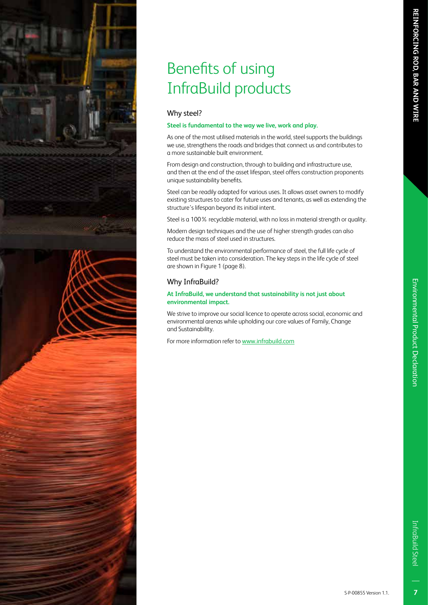# Benefits of using InfraBuild products

### Why steel?

### **Steel is fundamental to the way we live, work and play.**

As one of the most utilised materials in the world, steel supports the buildings we use, strengthens the roads and bridges that connect us and contributes to a more sustainable built environment.

From design and construction, through to building and infrastructure use, and then at the end of the asset lifespan, steel offers construction proponents unique sustainability benefits.

Steel can be readily adapted for various uses. It allows asset owners to modify existing structures to cater for future uses and tenants, as well as extending the structure's lifespan beyond its initial intent.

Steel is a 100% recyclable material, with no loss in material strength or quality.

Modern design techniques and the use of higher strength grades can also reduce the mass of steel used in structures.

To understand the environmental performance of steel, the full life cycle of steel must be taken into consideration. The key steps in the life cycle of steel are shown in Figure 1 (page 8).

### Why InfraBuild?

### **At InfraBuild, we understand that sustainability is not just about environmental impact.**

We strive to improve our social licence to operate across social, economic and environmental arenas while upholding our core values of Family, Change and Sustainability.

For more information refer to www.infrabuild.com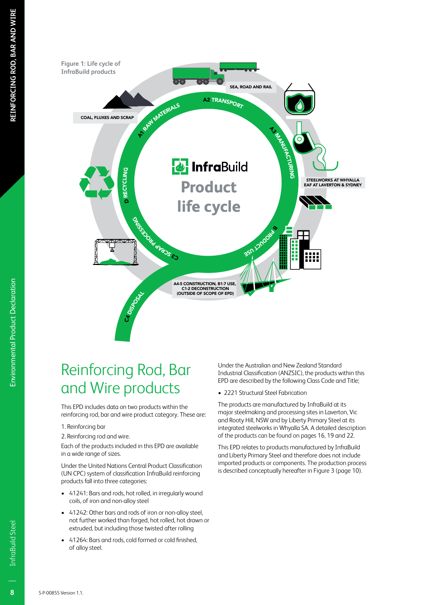

# Reinforcing Rod, Bar and Wire products

This EPD includes data on two products within the reinforcing rod, bar and wire product category. These are:

### 1. Reinforcing bar

2. Reinforcing rod and wire.

Each of the products included in this EPD are available in a wide range of sizes.

Under the United Nations Central Product Classification (UN CPC) system of classification InfraBuild reinforcing products fall into three categories:

- 41241: Bars and rods, hot rolled, in irregularly wound coils, of iron and non-alloy steel
- 41242: Other bars and rods of iron or non-alloy steel, not further worked than forged, hot rolled, hot drawn or extruded, but including those twisted after rolling
- 41264: Bars and rods, cold formed or cold finished, of alloy steel.

Under the Australian and New Zealand Standard Industrial Classification (ANZSIC), the products within this EPD are described by the following Class Code and Title;

• 2221 Structural Steel Fabrication

The products are manufactured by InfraBuild at its major steelmaking and processing sites in Laverton, Vic and Rooty Hill, NSW and by Liberty Primary Steel at its integrated steelworks in Whyalla SA. A detailed description of the products can be found on pages 16, 19 and 22.

This EPD relates to products manufactured by InfraBuild and Liberty Primary Steel and therefore does not include imported products or components. The production process is described conceptually hereafter in Figure 3 (page 10).

Environmental Product Declaration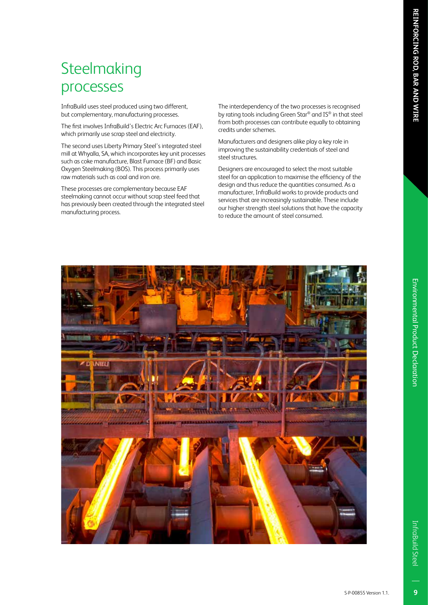# **Steelmaking** processes

InfraBuild uses steel produced using two different, but complementary, manufacturing processes.

The first involves InfraBuild's Electric Arc Furnaces (EAF), which primarily use scrap steel and electricity.

The second uses Liberty Primary Steel's integrated steel mill at Whyalla, SA, which incorporates key unit processes such as coke manufacture, Blast Furnace (BF) and Basic Oxygen Steelmaking (BOS). This process primarily uses raw materials such as coal and iron ore.

These processes are complementary because EAF steelmaking cannot occur without scrap steel feed that has previously been created through the integrated steel manufacturing process.

The interdependency of the two processes is recognised by rating tools including Green Star® and IS® in that steel from both processes can contribute equally to obtaining credits under schemes.

Manufacturers and designers alike play a key role in improving the sustainability credentials of steel and steel structures.

Designers are encouraged to select the most suitable steel for an application to maximise the efficiency of the design and thus reduce the quantities consumed. As a manufacturer, InfraBuild works to provide products and services that are increasingly sustainable. These include our higher strength steel solutions that have the capacity to reduce the amount of steel consumed.

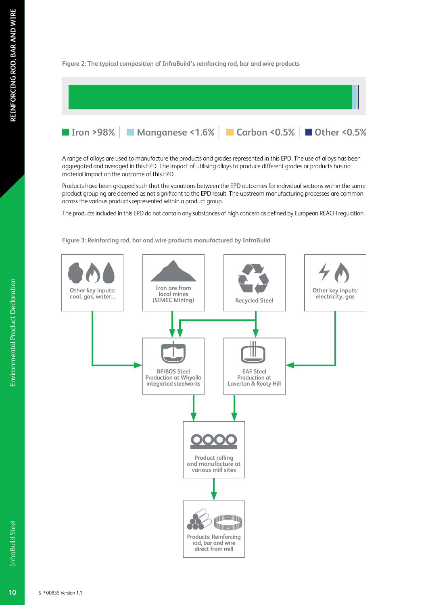### **Figure 2: The typical composition of InfraBuild's reinforcing rod, bar and wire products**



A range of alloys are used to manufacture the products and grades represented in this EPD. The use of alloys has been aggregated and averaged in this EPD. The impact of utilising alloys to produce different grades or products has no material impact on the outcome of this EPD.

Products have been grouped such that the variations between the EPD outcomes for individual sections within the same product grouping are deemed as not significant to the EPD result. The upstream manufacturing processes are common across the various products represented within a product group.

The products included in this EPD do not contain any substances of high concern as defined by European REACH regulation.

**Figure 3: Reinforcing rod, bar and wire products manufactured by InfraBuild**



**Environmental Product Declaration**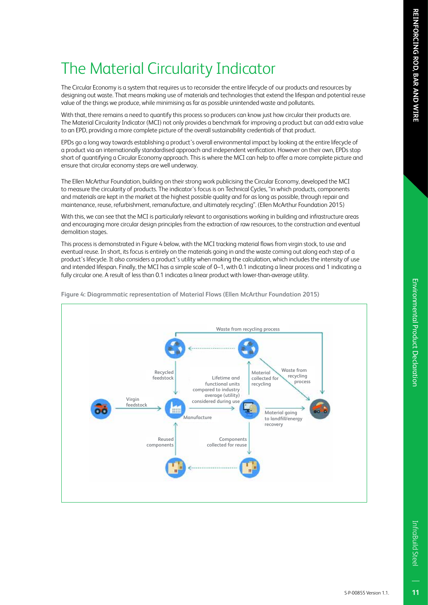# The Material Circularity Indicator

The Circular Economy is a system that requires us to reconsider the entire lifecycle of our products and resources by designing out waste. That means making use of materials and technologies that extend the lifespan and potential reuse value of the things we produce, while minimising as far as possible unintended waste and pollutants.

With that, there remains a need to quantify this process so producers can know just how circular their products are. The Material Circularity Indicator (MCI) not only provides a benchmark for improving a product but can add extra value to an EPD, providing a more complete picture of the overall sustainability credentials of that product.

EPDs go a long way towards establishing a product's overall environmental impact by looking at the entire lifecycle of a product via an internationally standardised approach and independent verification. However on their own, EPDs stop short of quantifying a Circular Economy approach. This is where the MCI can help to offer a more complete picture and ensure that circular economy steps are well underway.

The Ellen McArthur Foundation, building on their strong work publicising the Circular Economy, developed the MCI to measure the circularity of products. The indicator's focus is on Technical Cycles, "in which products, components and materials are kept in the market at the highest possible quality and for as long as possible, through repair and maintenance, reuse, refurbishment, remanufacture, and ultimately recycling". (Ellen McArthur Foundation 2015)

With this, we can see that the MCI is particularly relevant to organisations working in building and infrastructure areas and encouraging more circular design principles from the extraction of raw resources, to the construction and eventual demolition stages.

This process is demonstrated in Figure 4 below, with the MCI tracking material flows from virgin stock, to use and eventual reuse. In short, its focus is entirely on the materials going in and the waste coming out along each step of a product's lifecycle. It also considers a product's utility when making the calculation, which includes the intensity of use and intended lifespan. Finally, the MCI has a simple scale of 0–1, with 0.1 indicating a linear process and 1 indicating a fully circular one. A result of less than 0.1 indicates a linear product with lower-than-average utility.



**Figure 4: Diagrammatic representation of Material Flows (Ellen McArthur Foundation 2015)**

InfraBuild Steel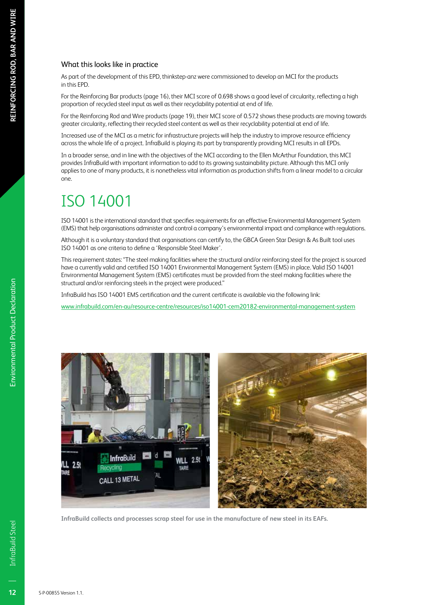### What this looks like in practice

As part of the development of this EPD, thinkstep-anz were commissioned to develop an MCI for the products in this EPD.

For the Reinforcing Bar products (page 16), their MCI score of 0.698 shows a good level of circularity, reflecting a high proportion of recycled steel input as well as their recyclability potential at end of life.

For the Reinforcing Rod and Wire products (page 19), their MCI score of 0.572 shows these products are moving towards greater circularity, reflecting their recycled steel content as well as their recyclability potential at end of life.

Increased use of the MCI as a metric for infrastructure projects will help the industry to improve resource efficiency across the whole life of a project. InfraBuild is playing its part by transparently providing MCI results in all EPDs.

In a broader sense, and in line with the objectives of the MCI according to the Ellen McArthur Foundation, this MCI provides InfraBuild with important information to add to its growing sustainability picture. Although this MCI only applies to one of many products, it is nonetheless vital information as production shifts from a linear model to a circular one.

# ISO 14001

ISO 14001 is the international standard that specifies requirements for an effective Environmental Management System (EMS) that help organisations administer and control a company's environmental impact and compliance with regulations.

Although it is a voluntary standard that organisations can certify to, the GBCA Green Star Design & As Built tool uses ISO 14001 as one criteria to define a 'Responsible Steel Maker'.

This requirement states: "The steel making facilities where the structural and/or reinforcing steel for the project is sourced have a currently valid and certified ISO 14001 Environmental Management System (EMS) in place. Valid ISO 14001 Environmental Management System (EMS) certificates must be provided from the steel making facilities where the structural and/or reinforcing steels in the project were produced."

InfraBuild has ISO 14001 EMS certification and the current certificate is available via the following link:

www.infrabuild.com/en-au/resource-centre/resources/iso14001-cem20182-environmental-management-system



**InfraBuild collects and processes scrap steel for use in the manufacture of new steel in its EAFs.**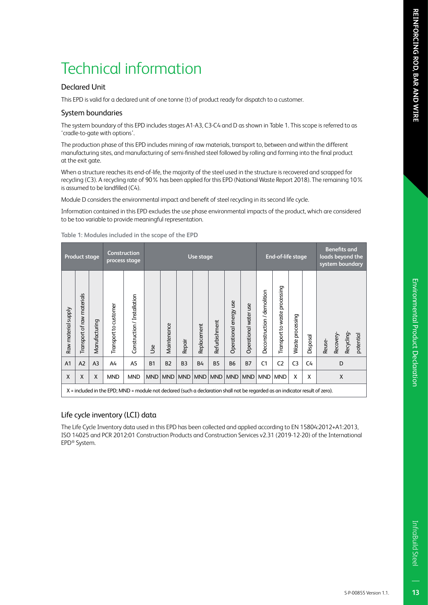### Declared Unit

This EPD is valid for a declared unit of one tonne (t) of product ready for dispatch to a customer.

### System boundaries

The system boundary of this EPD includes stages A1-A3, C3-C4 and D as shown in Table 1. This scope is referred to as 'cradle-to-gate with options'.

The production phase of this EPD includes mining of raw materials, transport to, between and within the different manufacturing sites, and manufacturing of semi-finished steel followed by rolling and forming into the final product at the exit gate.

When a structure reaches its end-of-life, the majority of the steel used in the structure is recovered and scrapped for recycling (C3). A recycling rate of 90% has been applied for this EPD (National Waste Report 2018). The remaining 10% is assumed to be landfilled (C4).

Module D considers the environmental impact and benefit of steel recycling in its second life cycle.

Information contained in this EPD excludes the use phase environmental impacts of the product, which are considered to be too variable to provide meaningful representation.

|                     | <b>Product stage</b>       |                |                                                                                                                               | Construction<br>process stage |            | End-of-life stage<br>Use stage |                |             | <b>Benefits and</b><br>loads beyond the<br>system boundary |                        |                       |                             |                               |                  |          |                                              |
|---------------------|----------------------------|----------------|-------------------------------------------------------------------------------------------------------------------------------|-------------------------------|------------|--------------------------------|----------------|-------------|------------------------------------------------------------|------------------------|-----------------------|-----------------------------|-------------------------------|------------------|----------|----------------------------------------------|
| Raw material supply | Transport of raw materials | Manufacturing  | Transport to customer                                                                                                         | Construction / Installation   | <b>Jse</b> | Maintenance                    | Repair         | Replacement | Refurbishment                                              | Operational energy use | Operational water use | Deconstruction / demolition | Transport to waste processing | Waste processing | Disposal | Recyding-<br>potential<br>Recovery<br>Reuse- |
| A <sub>1</sub>      | A2                         | A <sub>3</sub> | A4                                                                                                                            | A <sub>5</sub>                | <b>B1</b>  | B <sub>2</sub>                 | B <sub>3</sub> | <b>B4</b>   | <b>B5</b>                                                  | <b>B6</b>              | <b>B7</b>             | C <sub>1</sub>              | C <sub>2</sub>                | C <sub>3</sub>   | C4       | D                                            |
| X                   | X                          | $\mathsf{x}$   | <b>MND</b>                                                                                                                    | <b>MND</b>                    | <b>MND</b> | <b>MND</b>                     | <b>MND</b>     | <b>MND</b>  | <b>MND</b>                                                 | <b>MND</b>             | <b>MND</b>            | <b>MND</b>                  | <b>MND</b>                    | X                | X        | X                                            |
|                     |                            |                | X = included in the EPD; MND = module not declared (such a declaration shall not be regarded as an indicator result of zero). |                               |            |                                |                |             |                                                            |                        |                       |                             |                               |                  |          |                                              |

**Table 1: Modules included in the scope of the EPD**

### Life cycle inventory (LCI) data

The Life Cycle Inventory data used in this EPD has been collected and applied according to EN 15804:2012+A1:2013, ISO 14025 and PCR 2012:01 Construction Products and Construction Services v2.31 (2019-12-20) of the International EPD® System.

 $1<sub>3</sub>$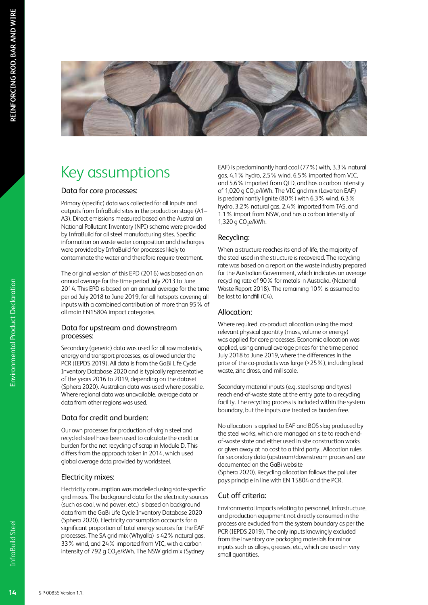

# Key assumptions

### Data for core processes:

Primary (specific) data was collected for all inputs and outputs from InfraBuild sites in the production stage (A1– A3). Direct emissions measured based on the Australian National Pollutant Inventory (NPI) scheme were provided by InfraBuild for all steel manufacturing sites. Specific information on waste water composition and discharges were provided by InfraBuild for processes likely to contaminate the water and therefore require treatment.

The original version of this EPD (2016) was based on an annual average for the time period July 2013 to June 2014. This EPD is based on an annual average for the time period July 2018 to June 2019, for all hotspots covering all inputs with a combined contribution of more than 95% of all main EN15804 impact categories.

### Data for upstream and downstream processes:

Secondary (generic) data was used for all raw materials, energy and transport processes, as allowed under the PCR (IEPDS 2019). All data is from the GaBi Life Cycle Inventory Database 2020 and is typically representative of the years 2016 to 2019, depending on the dataset (Sphera 2020). Australian data was used where possible. Where regional data was unavailable, average data or data from other regions was used.

### Data for credit and burden:

Our own processes for production of virgin steel and recycled steel have been used to calculate the credit or burden for the net recycling of scrap in Module D. This differs from the approach taken in 2014, which used global average data provided by worldsteel.

### Electricity mixes:

Electricity consumption was modelled using state-specific grid mixes. The background data for the electricity sources (such as coal, wind power, etc.) is based on background data from the GaBi Life Cycle Inventory Database 2020 (Sphera 2020). Electricity consumption accounts for a significant proportion of total energy sources for the EAF processes. The SA grid mix (Whyalla) is 42% natural gas, 33% wind, and 24% imported from VIC, with a carbon intensity of 792 g CO<sub>2</sub>e/kWh. The NSW grid mix (Sydney

EAF) is predominantly hard coal (77%) with, 3.3% natural gas, 4.1% hydro, 2.5% wind, 6.5% imported from VIC, and 5.6% imported from QLD, and has a carbon intensity of 1,020 g CO<sub>2</sub>e/kWh. The VIC grid mix (Laverton EAF) is predominantly lignite (80%) with 6.3% wind, 6.3% hydro, 3.2% natural gas, 2.4% imported from TAS, and 1.1% import from NSW, and has a carbon intensity of 1,320 g  $CO<sub>2</sub>e/kWh$ .

### Recycling:

When a structure reaches its end-of-life, the majority of the steel used in the structure is recovered. The recycling rate was based on a report on the waste industry prepared for the Australian Government, which indicates an average recycling rate of 90% for metals in Australia. (National Waste Report 2018). The remaining 10% is assumed to be lost to landfill (C4).

### Allocation:

Where required, co-product allocation using the most relevant physical quantity (mass, volume or energy) was applied for core processes. Economic allocation was applied, using annual average prices for the time period July 2018 to June 2019, where the differences in the price of the co-products was large (>25%), including lead waste, zinc dross, and mill scale.

Secondary material inputs (e.g. steel scrap and tyres) reach end-of-waste state at the entry gate to a recycling facility. The recycling process is included within the system boundary, but the inputs are treated as burden free.

No allocation is applied to EAF and BOS slag produced by the steel works, which are managed on site to reach endof-waste state and either used in site construction works or given away at no cost to a third party.. Allocation rules for secondary data (upstream/downstream processes) are documented on the GaBi website

(Sphera 2020). Recycling allocation follows the polluter pays principle in line with EN 15804 and the PCR.

### Cut off criteria:

Environmental impacts relating to personnel, infrastructure, and production equipment not directly consumed in the process are excluded from the system boundary as per the PCR (IEPDS 2019). The only inputs knowingly excluded from the inventory are packaging materials for minor inputs such as alloys, greases, etc., which are used in very small quantities.

Environmental Product Declaration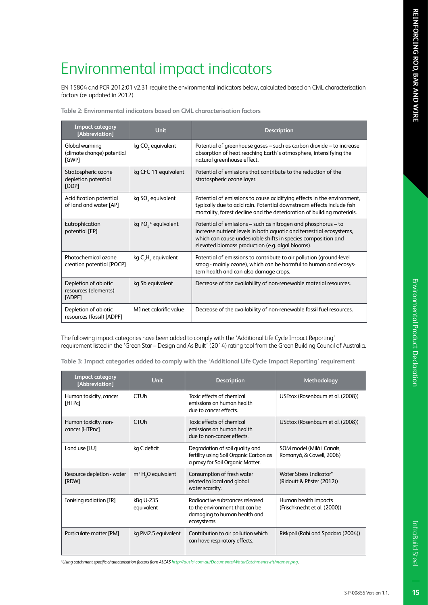# Environmental Product Declaration

# Environmental impact indicators

EN 15804 and PCR 2012:01 v2.31 require the environmental indicators below, calculated based on CML characterisation factors (as updated in 2012).

| <b>Impact category</b><br>[Abbreviation]               | <b>Unit</b>                   | <b>Description</b>                                                                                                                                                                                                                                         |
|--------------------------------------------------------|-------------------------------|------------------------------------------------------------------------------------------------------------------------------------------------------------------------------------------------------------------------------------------------------------|
| Global warming<br>(climate change) potential<br>[GWP]  | kg CO <sub>2</sub> equivalent | Potential of greenhouse gases – such as carbon dioxide – to increase<br>absorption of heat reaching Earth's atmosphere, intensifying the<br>natural greenhouse effect.                                                                                     |
| Stratospheric ozone<br>depletion potential<br>[ODP]    | kg CFC 11 equivalent          | Potential of emissions that contribute to the reduction of the<br>stratospheric ozone layer.                                                                                                                                                               |
| Acidification potential<br>of land and water [AP]      | kg SO <sub>2</sub> equivalent | Potential of emissions to cause acidifying effects in the environment,<br>typically due to acid rain. Potential downstream effects include fish<br>mortality, forest decline and the deterioration of building materials.                                  |
| Eutrophication<br>potential [EP]                       | kg $POL3$ equivalent          | Potential of emissions – such as nitrogen and phosphorus – to<br>increase nutrient levels in both aquatic and terrestrial ecosystems,<br>which can cause undesirable shifts in species composition and<br>elevated biomass production (e.g. algal blooms). |
| Photochemical ozone<br>creation potential [POCP]       | kg $C_2H_2$ equivalent        | Potential of emissions to contribute to air pollution (ground-level<br>smog - mainly ozone), which can be harmful to human and ecosys-<br>tem health and can also damage crops.                                                                            |
| Depletion of abiotic<br>resources (elements)<br>[ADPE] | kg Sb equivalent              | Decrease of the availability of non-renewable material resources.                                                                                                                                                                                          |
| Depletion of abiotic<br>resources (fossil) [ADPF]      | MJ net calorific value        | Decrease of the availability of non-renewable fossil fuel resources.                                                                                                                                                                                       |

**Table 2: Environmental indicators based on CML characterisation factors**

The following impact categories have been added to comply with the 'Additional Life Cycle Impact Reporting' requirement listed in the 'Green Star – Design and As Built' (2014) rating tool from the Green Building Council of Australia.

**Table 3: Impact categories added to comply with the 'Additional Life Cycle Impact Reporting' requirement**

| <b>Impact category</b><br>[Abbreviation] | <b>Unit</b>             | <b>Description</b>                                                                                               | Methodology                                           |
|------------------------------------------|-------------------------|------------------------------------------------------------------------------------------------------------------|-------------------------------------------------------|
| Human toxicity, cancer<br>[HTPc]         | <b>CTU<sub>h</sub></b>  | Toxic effects of chemical<br>emissions on human health<br>due to cancer effects.                                 | USEtox (Rosenbaum et al. (2008))                      |
| Human toxicity, non-<br>cancer [HTPnc]   | <b>CTU<sub>h</sub></b>  | Toxic effects of chemical<br>emissions on human health<br>due to non-cancer effects.                             | USEtox (Rosenbaum et al. (2008))                      |
| Land use [LU]                            | kg C deficit            | Degradation of soil quality and<br>fertility using Soil Organic Carbon as<br>a proxy for Soil Organic Matter.    | SOM model (Milà i Canals,<br>Romanyà, & Cowell, 2006) |
| Resource depletion - water<br>[RDW]      | $m3 H3O$ equivalent     | Consumption of fresh water<br>related to local and global<br>water scarcity.                                     | Water Stress Indicator*<br>(Ridoutt & Pfister (2012)) |
| Ionising radiation [IR]                  | kBq U-235<br>equivalent | Radioactive substances released<br>to the environment that can be<br>damaging to human health and<br>ecosystems. | Human health impacts<br>(Frischknecht et al. (2000))  |
| Particulate matter [PM]                  | kg PM2.5 equivalent     | Contribution to air pollution which<br>can have respiratory effects.                                             | Riskpoll (Rabi and Spadaro (2004))                    |

*\*Using catchment specific characterisation factors from ALCAS http://auslci.com.au/Documents/WaterCatchmentswithnames.png.*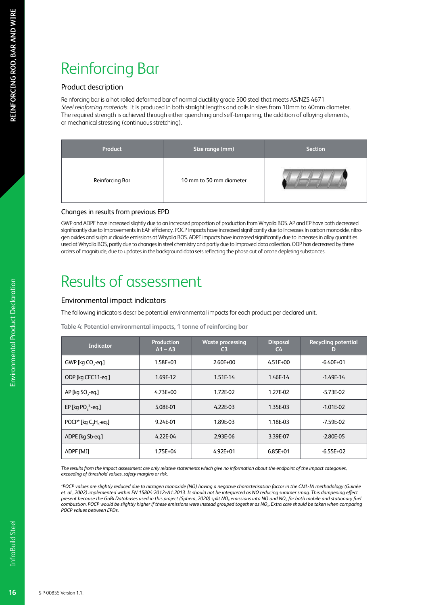# Reinforcing Bar

### Product description

Reinforcing bar is a hot rolled deformed bar of normal ductility grade 500 steel that meets AS/NZS 4671 *Steel reinforcing materials*. It is produced in both straight lengths and coils in sizes from 10mm to 40mm diameter. The required strength is achieved through either quenching and self-tempering, the addition of alloying elements, or mechanical stressing (continuous stretching).

| Product         | Size range (mm)         | <b>Section</b> |
|-----------------|-------------------------|----------------|
| Reinforcing Bar | 10 mm to 50 mm diameter |                |

### Changes in results from previous EPD

GWP and ADPF have increased slightly due to an increased proportion of production from Whyalla BOS. AP and EP have both decreased significantly due to improvements in EAF efficiency. POCP impacts have increased significantly due to increases in carbon monoxide, nitrogen oxides and sulphur dioxide emissions at Whyalla BOS. ADPE impacts have increased significantly due to increases in alloy quantities used at Whyalla BOS, partly due to changes in steel chemistry and partly due to improved data collection. ODP has decreased by three orders of magnitude, due to updates in the background data sets reflecting the phase out of ozone depleting substances.

## Results of assessment

### Environmental impact indicators

The following indicators describe potential environmental impacts for each product per declared unit.

**Table 4: Potential environmental impacts, 1 tonne of reinforcing bar**

| <b>Indicator</b>              | Production<br>$A1 - A3$ | <b>Waste processing</b><br>C <sub>3</sub> | <b>Disposal</b><br>$C_{\mathbf{4}}$ | <b>Recycling potential</b><br>D |
|-------------------------------|-------------------------|-------------------------------------------|-------------------------------------|---------------------------------|
| GWP [kg CO <sub>2</sub> -eq.] | 1.58E+03                | 2.60E+00                                  | $4.51E + 00$                        | $-6.40E + 01$                   |
| ODP [kg CFC11-eg.]            | 1.69E-12                | 1.51E-14                                  | 1.46E-14                            | $-1.49E-14$                     |
| AP [kg SO <sub>2</sub> -eg.]  | $4.73E + 00$            | 1.72E-02                                  | 1.27E-02                            | $-5.73E - 02$                   |
| EP [kg PO $^3$ -eq.]          | 5.08E-01                | $4.22E-03$                                | 1.35E-03                            | $-1.01E - 02$                   |
| POCP* [kg $C_2H_2$ -eq.]      | 9.24E-01                | 1.89E-03                                  | 1.18E-03                            | -7.59E-02                       |
| ADPE [kg Sb-eg.]              | $4.22E-04$              | 2.93E-06                                  | 3.39E-07                            | $-2.80E - 05$                   |
| ADPF [MJ]                     | 1.75E+04                | $4.92E + 01$                              | $6.85E + 01$                        | $-6.55E+02$                     |

*The results from the impact assessment are only relative statements which give no information about the endpoint of the impact categories, exceeding of threshold values, safety margins or risk.*

*\*POCP values are slightly reduced due to nitrogen monoxide (NO) having a negative characterisation factor in the CML-IA methodology (Guinée et. al., 2002) implemented within EN 15804:2012+A1:2013. It should not be interpreted as NO reducing summer smog. This dampening effect present because the GaBi Databases used in this project (Sphera, 2020) split NOx emissions into NO and NO2 for both mobile and stationary fuel combustion. POCP would be slightly higher if these emissions were instead grouped together as NOx. Extra care should be taken when comparing POCP values between EPDs.*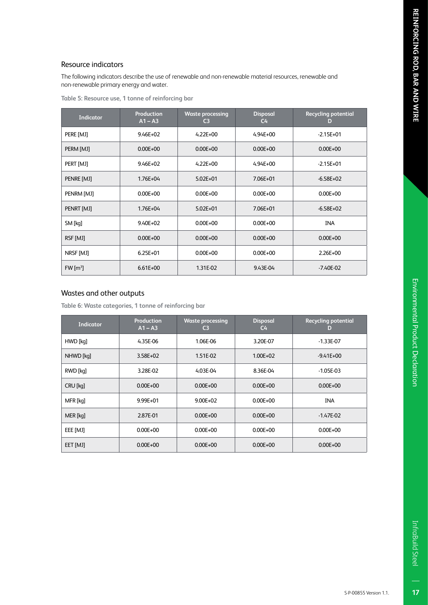$17$ 

### Resource indicators

The following indicators describe the use of renewable and non-renewable material resources, renewable and non-renewable primary energy and water.

| <b>Indicator</b>      | <b>Production</b><br>$A1 - A3$ | <b>Waste processing</b><br>C <sub>3</sub> | <b>Disposal</b><br>C <sub>4</sub> | <b>Recycling potential</b><br>D |
|-----------------------|--------------------------------|-------------------------------------------|-----------------------------------|---------------------------------|
| PERE [MJ]             | $9.46E + 02$                   | $4.22E + 00$                              | $4.94E + 00$                      | $-2.15E+01$                     |
| PERM [MJ]             | $0.00E + 00$                   | $0.00E + 00$                              | $0.00E + 00$                      | $0.00E + 00$                    |
| PERT [MJ]             | $9.46E + 02$                   | $4.22E + 00$                              | $4.94E + 00$                      | $-2.15E+01$                     |
| PENRE [MJ]            | 1.76E+04                       | $5.02E + 01$                              | 7.06E+01                          | $-6.58E+02$                     |
| PENRM [MJ]            | $0.00E + 00$                   | $0.00E + 00$                              | $0.00E + 00$                      | $0.00E + 00$                    |
| PENRT [MJ]            | $1.76E + 04$                   | $5.02E + 01$                              | 7.06E+01                          | $-6.58E + 02$                   |
| SM [kq]               | $9.40E + 02$                   | $0.00E + 00$                              | $0.00E + 00$                      | <b>INA</b>                      |
| RSF [MJ]              | $0.00E + 00$                   | $0.00E + 00$                              | $0.00E + 00$                      | $0.00E + 00$                    |
| NRSF [MJ]             | $6.25E + 01$                   | $0.00E + 00$                              | $0.00E + 00$                      | 2.26E+00                        |
| $FW \,[\mathrm{m}^3]$ | $6.61E + 00$                   | 1.31E-02                                  | 9.43E-04                          | $-7.40E-02$                     |

### Wastes and other outputs

**Table 6: Waste categories, 1 tonne of reinforcing bar**

| <b>Indicator</b> | <b>Production</b><br>$A1 - A3$ | <b>Waste processing</b><br>C <sub>3</sub> | <b>Disposal</b><br>$C_{\mathbf{4}}$ | <b>Recycling potential</b><br>D |
|------------------|--------------------------------|-------------------------------------------|-------------------------------------|---------------------------------|
| HWD [kq]         | 4.35E-06                       | 1.06E-06                                  | 3.20E-07                            | $-1.33E-07$                     |
| NHWD [kq]        | $3.58E + 02$                   | 1.51E-02                                  | $1.00E + 02$                        | $-9.41E+00$                     |
| RWD [kq]         | 3.28E-02                       | 4.03E-04                                  | 8.36E-04                            | $-1.05E-03$                     |
| CRU [kg]         | $0.00E + 00$                   | $0.00E + 00$                              | $0.00E + 00$                        | $0.00E + 00$                    |
| MFR [kq]         | 9.99E+01                       | $9.00E + 02$                              | $0.00E + 00$                        | <b>INA</b>                      |
| MER [kq]         | 2.87E-01                       | $0.00E + 00$                              | $0.00E + 00$                        | $-1.47E-02$                     |
| EEE [MJ]         | $0.00E + 00$                   | $0.00E + 00$                              | $0.00E + 00$                        | $0.00E + 00$                    |
| EET [MJ]         | $0.00E + 00$                   | $0.00E + 00$                              | $0.00E + 00$                        | $0.00E + 00$                    |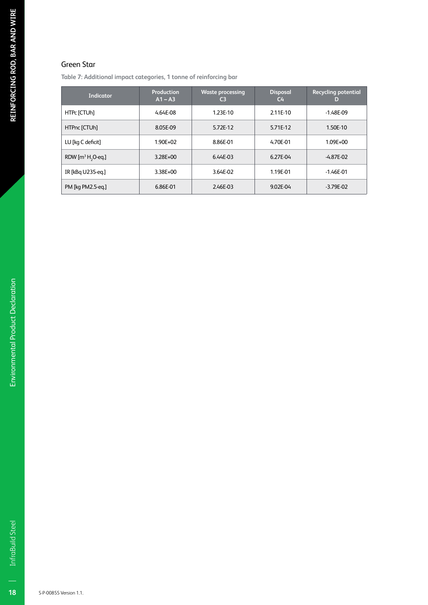### Green Star

**Table 7: Additional impact categories, 1 tonne of reinforcing bar**

| <b>Indicator</b>              | Production<br>$A1 - A3$ | <b>Waste processing</b><br>C <sub>3</sub> | <b>Disposal</b><br>$C_{\mathbf{4}}$ | <b>Recycling potential</b><br>D |
|-------------------------------|-------------------------|-------------------------------------------|-------------------------------------|---------------------------------|
| HTPc [CTUh]                   | 4.64E-08                | 1.23E-10                                  | 2.11E-10                            | $-1.48E-09$                     |
| HTPnc [CTUh]                  | 8.05E-09                | 5.72E-12                                  | 5.71E-12                            | 1.50E-10                        |
| LU [kg C deficit]             | $1.90E + 02$            | 8.86E-01                                  | 4.70E-01                            | $1.09E + 00$                    |
| RDW $[m^3 H, O \text{-} eq.]$ | $3.28E + 00$            | 6.44E-03                                  | 6.27E-04                            | $-4.87E - 02$                   |
| IR [kBq U235-eq.]             | 3.38E+00                | 3.64E-02                                  | 1.19E-01                            | $-1.46E - 01$                   |
| PM [kg PM2.5-eg.]             | 6.86E-01                | 2.46E-03                                  | 9.02E-04                            | $-3.79E - 02$                   |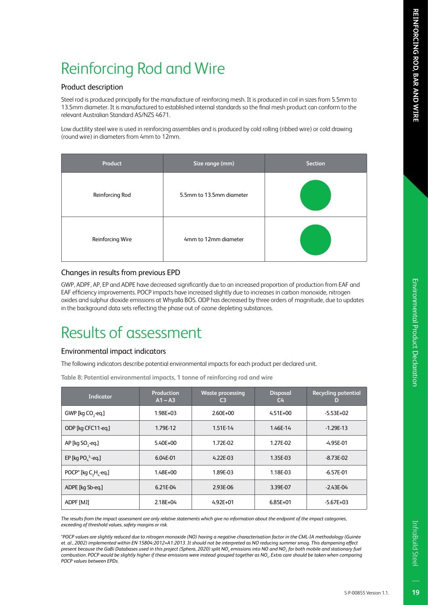### Product description

Steel rod is produced principally for the manufacture of reinforcing mesh. It is produced in coil in sizes from 5.5mm to 13.5mm diameter. It is manufactured to established internal standards so the final mesh product can conform to the relevant Australian Standard AS/NZS 4671.

Low ductility steel wire is used in reinforcing assemblies and is produced by cold rolling (ribbed wire) or cold drawing (round wire) in diameters from 4mm to 12mm.

| Product          | Size range (mm)          | <b>Section</b> |
|------------------|--------------------------|----------------|
| Reinforcing Rod  | 5.5mm to 13.5mm diameter |                |
| Reinforcing Wire | 4mm to 12mm diameter     |                |

### Changes in results from previous EPD

GWP, ADPF, AP, EP and ADPE have decreased significantly due to an increased proportion of production from EAF and EAF efficiency improvements. POCP impacts have increased slightly due to increases in carbon monoxide, nitrogen oxides and sulphur dioxide emissions at Whyalla BOS. ODP has decreased by three orders of magnitude, due to updates in the background data sets reflecting the phase out of ozone depleting substances.

## Results of assessment

### Environmental impact indicators

The following indicators describe potential environmental impacts for each product per declared unit.

**Table 8: Potential environmental impacts, 1 tonne of reinforcing rod and wire**

| Indicator                                                 | <b>Production</b><br>$A1 - A3$ | <b>Waste processing</b><br>C <sub>3</sub> | <b>Disposal</b><br>C <sub>4</sub> | <b>Recycling potential</b><br>D |
|-----------------------------------------------------------|--------------------------------|-------------------------------------------|-----------------------------------|---------------------------------|
| GWP [kg CO <sub>2</sub> -eq.]                             | 1.98E+03                       | $2.60E + 00$                              | $4.51E + 00$                      | $-5.53E+02$                     |
| ODP [kg CFC11-eg.]                                        | 1.79E-12                       | 1.51E-14                                  | 1.46E-14                          | $-1.29E-13$                     |
| AP [kg SO <sub>2</sub> -eg.]                              | 5.40E+00                       | 1.72E-02                                  | 1.27E-02                          | -4.95E-01                       |
| EP [kg PO $^3$ -eq.]                                      | 6.04E-01                       | $4.22E-03$                                | 1.35E-03                          | $-8.73E - 02$                   |
| POCP <sup>*</sup> [kg C <sub>2</sub> H <sub>z</sub> -eq.] | $1.48E + 00$                   | 1.89E-03                                  | 1.18E-03                          | $-6.57E-01$                     |
| ADPE [kg Sb-eg.]                                          | 6.21E-04                       | 2.93E-06                                  | 3.39E-07                          | $-2.43E - 04$                   |
| ADPF [MJ]                                                 | $2.18E + 04$                   | $4.92E + 01$                              | $6.85E + 01$                      | $-5.67E+03$                     |

*The results from the impact assessment are only relative statements which give no information about the endpoint of the impact categories, exceeding of threshold values, safety margins or risk.*

*\*POCP values are slightly reduced due to nitrogen monoxide (NO) having a negative characterisation factor in the CML-IA methodology (Guinée et. al., 2002) implemented within EN 15804:2012+A1:2013. It should not be interpreted as NO reducing summer smog. This dampening effect present because the GaBi Databases used in this project (Sphera, 2020) split NOx emissions into NO and NO2 for both mobile and stationary fuel combustion. POCP would be slightly higher if these emissions were instead grouped together as NOx. Extra care should be taken when comparing POCP values between EPDs.*

S-P-00855 Version 1.1.

19

InfraBuild Steel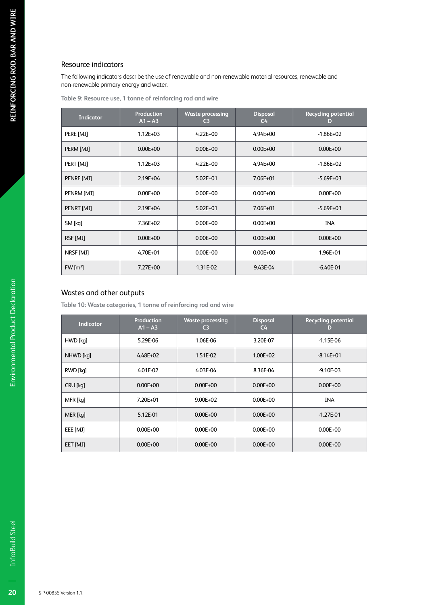### Resource indicators

The following indicators describe the use of renewable and non-renewable material resources, renewable and non-renewable primary energy and water.

**Table 9: Resource use, 1 tonne of reinforcing rod and wire**

| <b>Indicator</b>      | <b>Production</b><br>$A1 - A3$ | <b>Waste processing</b><br>C <sub>3</sub> | <b>Disposal</b><br>C <sub>4</sub> | <b>Recycling potential</b><br>D |
|-----------------------|--------------------------------|-------------------------------------------|-----------------------------------|---------------------------------|
| PERE [MJ]             | $1.12E + 03$                   | $4.22E + 00$                              | $4.94E + 00$                      | $-1.86E+02$                     |
| PERM [MJ]             | $0.00E + 00$                   | $0.00E + 00$                              | $0.00E + 00$                      | $0.00E + 00$                    |
| PERT [MJ]             | $1.12E + 03$                   | $4.22E + 00$                              | $4.94E + 00$                      | $-1.86E+02$                     |
| PENRE [MJ]            | $2.19E + 04$                   | $5.02E + 01$                              | 7.06E+01                          | $-5.69E + 03$                   |
| PENRM [MJ]            | $0.00E + 00$                   | $0.00E + 00$                              | $0.00E + 00$                      | $0.00E + 00$                    |
| PENRT [MJ]            | $2.19E + 04$                   | $5.02E + 01$                              | 7.06E+01                          | $-5.69E + 03$                   |
| SM [kq]               | $7.36E + 02$                   | $0.00E + 00$                              | $0.00E + 00$                      | <b>INA</b>                      |
| RSF [MJ]              | $0.00E + 00$                   | $0.00E + 00$                              | $0.00E + 00$                      | $0.00E + 00$                    |
| NRSF [MJ]             | $4.70E + 01$                   | $0.00E + 00$                              | $0.00E + 00$                      | 1.96E+01                        |
| $FW \,[\mathrm{m}^3]$ | 7.27E+00                       | 1.31E-02                                  | 9.43E-04                          | $-6.40E - 01$                   |

### Wastes and other outputs

**Table 10: Waste categories, 1 tonne of reinforcing rod and wire**

| Indicator | Production<br>$A1 - A3$ | <b>Waste processing</b><br>C3 | <b>Disposal</b><br>C <sub>4</sub> | <b>Recycling potential</b><br>D |
|-----------|-------------------------|-------------------------------|-----------------------------------|---------------------------------|
| HWD [kq]  | 5.29E-06                | 1.06E-06                      | 3.20E-07                          | $-1.15E-06$                     |
| NHWD [kq] | $4.48E + 02$            | 1.51E-02                      | $1.00E + 02$                      | $-8.14E + 01$                   |
| RWD [kq]  | 4.01E-02                | 4.03E-04                      | 8.36E-04                          | $-9.10E - 03$                   |
| CRU [kq]  | $0.00E + 00$            | $0.00E + 00$                  | $0.00E + 00$                      | $0.00E + 00$                    |
| MFR [kq]  | 7.20E+01                | $9.00E + 02$                  | $0.00E + 00$                      | <b>INA</b>                      |
| MER [kq]  | 5.12E-01                | $0.00E + 00$                  | $0.00E + 00$                      | $-1.27E - 01$                   |
| EEE [MJ]  | $0.00E + 00$            | $0.00E + 00$                  | $0.00E + 00$                      | $0.00E + 00$                    |
| EET [MJ]  | $0.00E + 00$            | $0.00E + 00$                  | $0.00E + 00$                      | $0.00E + 00$                    |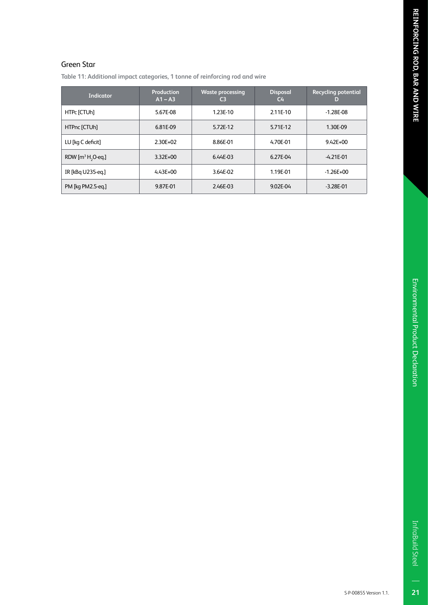$\overline{21}$ 

### Green Star

**Table 11: Additional impact categories, 1 tonne of reinforcing rod and wire**

| <b>Indicator</b>              | Production<br>$A1 - A3$ | <b>Waste processing</b><br>C <sub>3</sub> | <b>Disposal</b><br>$C_{\mathbf{4}}$ | <b>Recycling potential</b><br>D |
|-------------------------------|-------------------------|-------------------------------------------|-------------------------------------|---------------------------------|
| HTPc [CTUh]                   | 5.67E-08                | 1.23E-10                                  | 2.11E-10                            | $-1.28E - 08$                   |
| HTPnc [CTUh]                  | 6.81E-09                | 5.72E-12                                  | 5.71E-12                            | 1.30E-09                        |
| LU [kg C deficit]             | 2.30E+02                | 8.86E-01                                  | 4.70E-01                            | $9.42E + 00$                    |
| RDW $[m^3 H, O \text{-} eq.]$ | $3.32E + 00$            | 6.44E-03                                  | 6.27E-04                            | $-4.21E - 01$                   |
| IR [kBq U235-eq.]             | $4.43E + 00$            | 3.64E-02                                  | 1.19E-01                            | $-1.26E + 00$                   |
| PM [kg PM2.5-eg.]             | 9.87E-01                | 2.46E-03                                  | 9.02E-04                            | $-3.28E - 01$                   |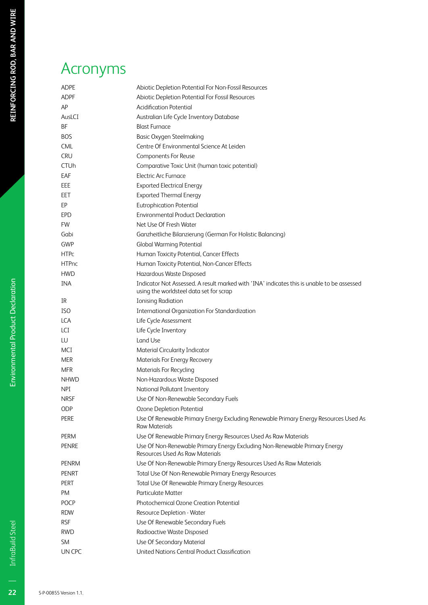# Acronyms

| ADPE         | Abiotic Depletion Potential For Non-Fossil Resources                                                                                  |
|--------------|---------------------------------------------------------------------------------------------------------------------------------------|
| <b>ADPF</b>  | Abiotic Depletion Potential For Fossil Resources                                                                                      |
| AP           | <b>Acidification Potential</b>                                                                                                        |
| AusLCI       | Australian Life Cycle Inventory Database                                                                                              |
| BF           | <b>Blast Furnace</b>                                                                                                                  |
| <b>BOS</b>   | <b>Basic Oxygen Steelmaking</b>                                                                                                       |
| <b>CML</b>   | Centre Of Environmental Science At Leiden                                                                                             |
| <b>CRU</b>   | Components For Reuse                                                                                                                  |
| <b>CTUh</b>  | Comparative Toxic Unit (human toxic potential)                                                                                        |
| EAF          | Electric Arc Furnace                                                                                                                  |
| EEE          | <b>Exported Electrical Energy</b>                                                                                                     |
| EET          | <b>Exported Thermal Energy</b>                                                                                                        |
| EP           | <b>Eutrophication Potential</b>                                                                                                       |
| <b>EPD</b>   | <b>Environmental Product Declaration</b>                                                                                              |
| <b>FW</b>    | Net Use Of Fresh Water                                                                                                                |
| Gabi         | Ganzheitliche Bilanzierung (German For Holistic Balancing)                                                                            |
| GWP          | <b>Global Warming Potential</b>                                                                                                       |
| <b>HTPc</b>  | Human Toxicity Potential, Cancer Effects                                                                                              |
| <b>HTPnc</b> | Human Toxicity Potential, Non-Cancer Effects                                                                                          |
| <b>HWD</b>   | Hazardous Waste Disposed                                                                                                              |
| <b>INA</b>   | Indicator Not Assessed. A result marked with 'INA' indicates this is unable to be assessed<br>using the worldsteel data set for scrap |
| IR           | <b>Ionising Radiation</b>                                                                                                             |
| <b>ISO</b>   | <b>International Organization For Standardization</b>                                                                                 |
| <b>LCA</b>   | Life Cycle Assessment                                                                                                                 |
| LCI          | Life Cycle Inventory                                                                                                                  |
| LU           | Land Use                                                                                                                              |
| MCI          | Material Circularity Indicator                                                                                                        |
| <b>MER</b>   | Materials For Energy Recovery                                                                                                         |
| <b>MFR</b>   | <b>Materials For Recycling</b>                                                                                                        |
| <b>NHWD</b>  | Non-Hazardous Waste Disposed                                                                                                          |
| <b>NPI</b>   | National Pollutant Inventory                                                                                                          |
| <b>NRSF</b>  | Use Of Non-Renewable Secondary Fuels                                                                                                  |
| ODP          | Ozone Depletion Potential                                                                                                             |
| PERE         | Use Of Renewable Primary Energy Excluding Renewable Primary Energy Resources Used As<br><b>Raw Materials</b>                          |
| PERM         | Use Of Renewable Primary Energy Resources Used As Raw Materials                                                                       |
| <b>PENRE</b> | Use Of Non-Renewable Primary Energy Excluding Non-Renewable Primary Energy<br><b>Resources Used As Raw Materials</b>                  |
| <b>PENRM</b> | Use Of Non-Renewable Primary Energy Resources Used As Raw Materials                                                                   |
| <b>PENRT</b> | Total Use Of Non-Renewable Primary Energy Resources                                                                                   |
| <b>PERT</b>  | Total Use Of Renewable Primary Energy Resources                                                                                       |
| PM           | <b>Particulate Matter</b>                                                                                                             |
| <b>POCP</b>  | Photochemical Ozone Creation Potential                                                                                                |
| <b>RDW</b>   | Resource Depletion - Water                                                                                                            |
| <b>RSF</b>   | Use Of Renewable Secondary Fuels                                                                                                      |
| <b>RWD</b>   | Radioactive Waste Disposed                                                                                                            |
| <b>SM</b>    | Use Of Secondary Material                                                                                                             |
| UN CPC       | United Nations Central Product Classification                                                                                         |

 $\overline{22}$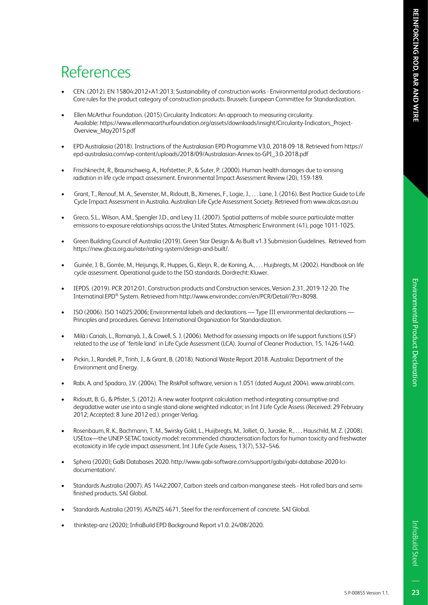- CEN. (2012). EN 15804:2012+A1:2013; Sustainability of construction works Environmental product declarations Core rules for the product category of construction products. Brussels: European Committee for Standardization.
- Ellen McArthur Foundation. (2015) Circularity Indicators: An approach to measuring circularity. Available: https://www.ellenmacarthurfoundation.org/assets/downloads/insight/Circularity-Indicators\_Project-Overview\_May2015.pdf
- EPD Australasia (2018). Instructions of the Australasian EPD Programme V3.0, 2018-09-18. Retrieved from https:// epd-australasia.com/wp-content/uploads/2018/09/Australasian-Annex-to-GPI\_3.0-2018.pdf
- Frischknecht, R., Braunschweig, A., Hofstetter, P., & Suter, P. (2000). Human health damages due to ionising radiation in life cycle impact assessment. Environmental Impact Assessment Review (20), 159-189.
- Grant, T., Renouf, M. A., Sevenster, M., Ridoutt, B., Ximenes, F., Logie, J., . . . Lane, J. (2016). Best Practice Guide to Life Cycle Impact Assessment in Australia. Australian Life Cycle Assessment Society. Retrieved from www.alcas.asn.au
- Greco, S.L., Wilson, A.M., Spengler J.D., and Levy J.I. (2007). Spatial patterns of mobile source particulate matter emissions-to-exposure relationships across the United States. Atmospheric Environment (41), page 1011-1025.
- Green Building Council of Australia (2019). Green Star Design & As Built v1.3 Submission Guidelines. Retrieved from https://new.gbca.org.au/rate/rating-system/design-and-built/.
- Guinée, J. B., Gorrée, M., Heijungs, R., Huppes, G., Kleijn, R., de Koning, A., . . . Huijbregts, M. (2002). Handbook on life cycle assessment. Operational guide to the ISO standards. Dordrecht: Kluwer.
- IEPDS. (2019). PCR 2012:01, Construction products and Construction services, Version 2.31, 2019-12-20. The Internatinal EPD® System. Retrieved from http://www.environdec.com/en/PCR/Detail/?Pcr=8098.
- ISO (2006). ISO 14025:2006; Environmental labels and declarations Type III environmental declarations Principles and procedures. Geneva: International Organization for Standardization.
- Milà i Canals, L., Romanyà, J., & Cowell, S. J. (2006). Method for assessing impacts on life support functions (LSF) related to the use of 'fertile land' in Life Cycle Assessment (LCA). Journal of Cleaner Production, 15, 1426-1440.
- Pickin, J., Randell, P., Trinh, J., & Grant, B. (2018). National Waste Report 2018. Australia: Department of the Environment and Energy.
- Rabi, A. and Spadaro, J.V. (2004). The RiskPoll software, version is 1.051 (dated August 2004). www.arirabl.com.
- Ridoutt, B. G., & Pfister, S. (2012). A new water footprint calculation method integrating consumptive and degradative water use into a single stand-alone weighted indicator; in Int J Life Cycle Assess (Received: 29 February 2012; Accepted: 8 June 2012 ed.). pringer-Verlag.
- Rosenbaum, R. K., Bachmann, T. M., Swirsky Gold, L., Huijbregts, M., Jolliet, O., Juraske, R., . . . Hauschild, M. Z. (2008). USEtox—the UNEP-SETAC toxicity model: recommended characterisation factors for human toxicity and freshwater ecotoxicity in life cycle impact assessment. Int J Life Cycle Assess, 13(7), 532–546.
- Sphera (2020); GaBi Databases 2020. http://www.gabi-software.com/support/gabi/gabi-database-2020-lcidocumentation/.
- Standards Australia (2007). AS 1442:2007, Carbon steels and carbon-manganese steels Hot rolled bars and semifinished products. SAI Global.
- Standards Australia (2019). AS/NZS 4671, Steel for the reinforcement of concrete. SAI Global.
- thinkstep-anz (2020); InfraBuild EPD Background Report v1.0. 24/08/2020.

InfraBuild Steel